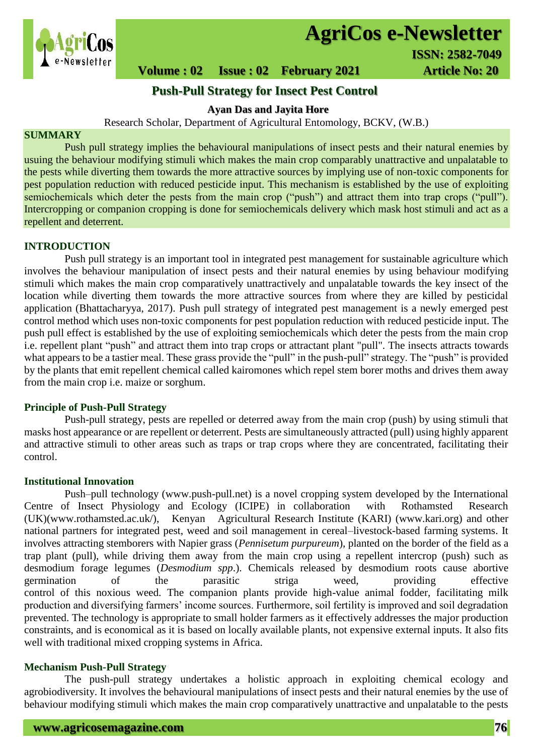

# **AgriCos e-Newsletter**

# **Volume : 02 Issue : 02 February 2021 4rticle No: 20**

## **Push-Pull Strategy for Insect Pest Control**

## **Ayan Das and Jayita Hore**

Research Scholar, Department of Agricultural Entomology, BCKV, (W.B.)

## **SUMMARY**

 Push pull strategy implies the behavioural manipulations of insect pests and their natural enemies by usuing the behaviour modifying stimuli which makes the main crop comparably unattractive and unpalatable to the pests while diverting them towards the more attractive sources by implying use of non-toxic components for pest population reduction with reduced pesticide input. This mechanism is established by the use of exploiting semiochemicals which deter the pests from the main crop ("push") and attract them into trap crops ("pull"). Intercropping or companion cropping is done for semiochemicals delivery which mask host stimuli and act as a repellent and deterrent.

#### **INTRODUCTION**

Push pull strategy is an important tool in integrated pest management for sustainable agriculture which involves the behaviour manipulation of insect pests and their natural enemies by using behaviour modifying stimuli which makes the main crop comparatively unattractively and unpalatable towards the key insect of the location while diverting them towards the more attractive sources from where they are killed by pesticidal application (Bhattacharyya, 2017). Push pull strategy of integrated pest management is a newly emerged pest control method which uses non-toxic components for pest population reduction with reduced pesticide input. The push pull effect is established by the use of exploiting semiochemicals which deter the pests from the main crop i.e. repellent plant "push" and attract them into trap crops or attractant plant "pull". The insects attracts towards what appears to be a tastier meal. These grass provide the "pull" in the push-pull" strategy. The "push" is provided by the plants that emit repellent chemical called kairomones which repel stem borer moths and drives them away from the main crop i.e. maize or sorghum.

### **Principle of Push-Pull Strategy**

Push-pull strategy, pests are repelled or deterred away from the main crop (push) by using stimuli that masks host appearance or are repellent or deterrent. Pests are simultaneously attracted (pull) using highly apparent and attractive stimuli to other areas such as traps or trap crops where they are concentrated, facilitating their control.

#### **Institutional Innovation**

Push–pull technology (www.push-pull.net) is a novel cropping system developed by the International Centre of Insect Physiology and Ecology (ICIPE) in collaboration with Rothamsted Research (UK)(www.rothamsted.ac.uk/), Kenyan Agricultural Research Institute (KARI) (www.kari.org) and other national partners for integrated pest, weed and soil management in cereal–livestock-based farming systems. It involves attracting stemborers with Napier grass (*Pennisetum purpureum*), planted on the border of the field as a trap plant (pull), while driving them away from the main crop using a repellent intercrop (push) such as desmodium forage legumes (*Desmodium spp*.). Chemicals released by desmodium roots cause abortive germination of the parasitic striga weed, providing effective control of this noxious weed. The companion plants provide high-value animal fodder, facilitating milk production and diversifying farmers' income sources. Furthermore, soil fertility is improved and soil degradation prevented. The technology is appropriate to small holder farmers as it effectively addresses the major production constraints, and is economical as it is based on locally available plants, not expensive external inputs. It also fits well with traditional mixed cropping systems in Africa.

#### **Mechanism Push-Pull Strategy**

The push-pull strategy undertakes a holistic approach in exploiting chemical ecology and agrobiodiversity. It involves the behavioural manipulations of insect pests and their natural enemies by the use of behaviour modifying stimuli which makes the main crop comparatively unattractive and unpalatable to the pests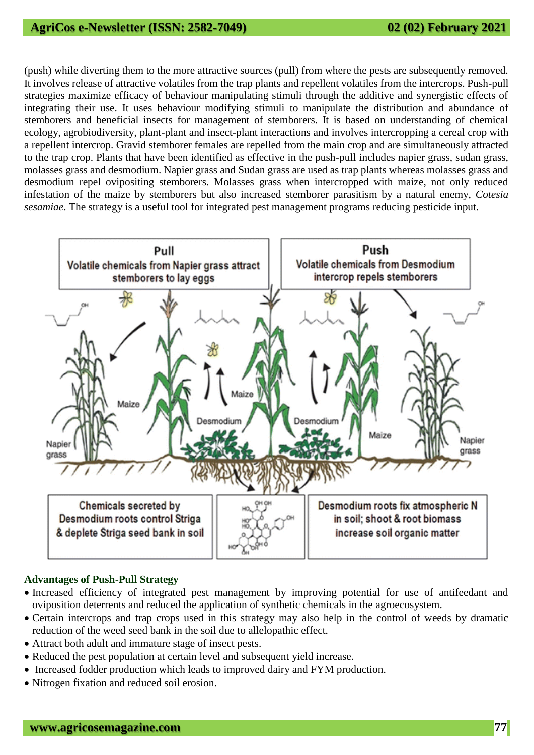## **AgriCos e-Newsletter (ISSN: 2582-7049) 02 (02) February 2021**

(push) while diverting them to the more attractive sources (pull) from where the pests are subsequently removed. It involves release of attractive volatiles from the trap plants and repellent volatiles from the intercrops. Push-pull strategies maximize efficacy of behaviour manipulating stimuli through the additive and synergistic effects of integrating their use. It uses behaviour modifying stimuli to manipulate the distribution and abundance of stemborers and beneficial insects for management of stemborers. It is based on understanding of chemical ecology, agrobiodiversity, plant-plant and insect-plant interactions and involves intercropping a cereal crop with a repellent intercrop. Gravid stemborer females are repelled from the main crop and are simultaneously attracted to the trap crop. Plants that have been identified as effective in the push-pull includes napier grass, sudan grass, molasses grass and desmodium. Napier grass and Sudan grass are used as trap plants whereas molasses grass and desmodium repel ovipositing stemborers. Molasses grass when intercropped with maize, not only reduced infestation of the maize by stemborers but also increased stemborer parasitism by a natural enemy, *Cotesia sesamiae*. The strategy is a useful tool for integrated pest management programs reducing pesticide input.



## **Advantages of Push-Pull Strategy**

- Increased efficiency of integrated pest management by improving potential for use of antifeedant and oviposition deterrents and reduced the application of synthetic chemicals in the agroecosystem.
- Certain intercrops and trap crops used in this strategy may also help in the control of weeds by dramatic reduction of the weed seed bank in the soil due to allelopathic effect.
- Attract both adult and immature stage of insect pests.
- Reduced the pest population at certain level and subsequent yield increase.
- Increased fodder production which leads to improved dairy and FYM production.
- Nitrogen fixation and reduced soil erosion.